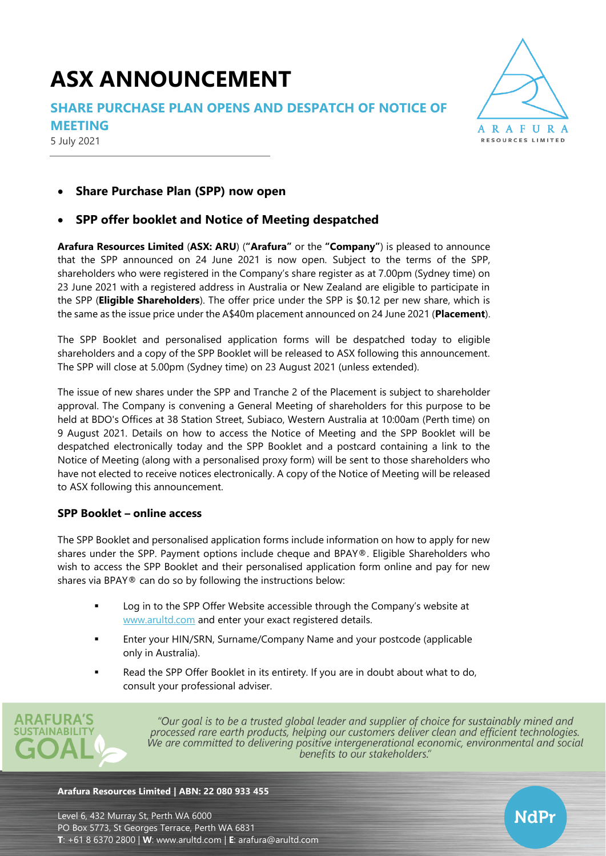# **ASX ANNOUNCEMENT**

**SHARE PURCHASE PLAN OPENS AND DESPATCH OF NOTICE OF** 

**MEETING**

5 July 2021



## • **Share Purchase Plan (SPP) now open**

### • **SPP offer booklet and Notice of Meeting despatched**

**Arafura Resources Limited** (**ASX: ARU**) (**"Arafura"** or the **"Company"**) is pleased to announce that the SPP announced on 24 June 2021 is now open. Subject to the terms of the SPP, shareholders who were registered in the Company's share register as at 7.00pm (Sydney time) on 23 June 2021 with a registered address in Australia or New Zealand are eligible to participate in the SPP (**Eligible Shareholders**). The offer price under the SPP is \$0.12 per new share, which is the same as the issue price under the A\$40m placement announced on 24 June 2021 (**Placement**).

The SPP Booklet and personalised application forms will be despatched today to eligible shareholders and a copy of the SPP Booklet will be released to ASX following this announcement. The SPP will close at 5.00pm (Sydney time) on 23 August 2021 (unless extended).

The issue of new shares under the SPP and Tranche 2 of the Placement is subject to shareholder approval. The Company is convening a General Meeting of shareholders for this purpose to be held at BDO's Offices at 38 Station Street, Subiaco, Western Australia at 10:00am (Perth time) on 9 August 2021. Details on how to access the Notice of Meeting and the SPP Booklet will be despatched electronically today and the SPP Booklet and a postcard containing a link to the Notice of Meeting (along with a personalised proxy form) will be sent to those shareholders who have not elected to receive notices electronically. A copy of the Notice of Meeting will be released to ASX following this announcement.

#### **SPP Booklet – online access**

The SPP Booklet and personalised application forms include information on how to apply for new shares under the SPP. Payment options include cheque and BPAY®. Eligible Shareholders who wish to access the SPP Booklet and their personalised application form online and pay for new shares via BPAY® can do so by following the instructions below:

- Log in to the SPP Offer Website accessible through the Company's website at [www.arultd.com](http://www.arultd.com/) and enter your exact registered details.
- Enter your HIN/SRN, Surname/Company Name and your postcode (applicable only in Australia).
- Read the SPP Offer Booklet in its entirety. If you are in doubt about what to do, consult your professional adviser.



"Our goal is to be a trusted global leader and supplier of choice for sustainably mined and processed rare earth products, helping our customers deliver clean and efficient technologies. We are committed to delivering positive intergenerational economic, environmental and social benefits to our stakeholders."

#### **Arafura Resources Limited | ABN: 22 080 933 455**